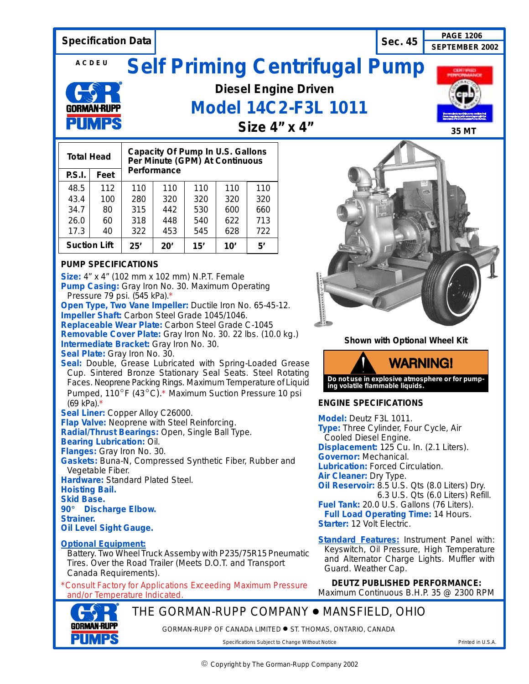

**Optional Equipment:**

Battery. Two Wheel Truck Assemby with P235/75R15 Pneumatic Tires. Over the Road Trailer (Meets D.O.T. and Transport Canada Requirements).

\**Consult Factory for Applications Exceeding Maximum Pressure and/or Temperature Indicated.*

Keyswitch, Oil Pressure, High Temperature and Alternator Charge Lights. Muffler with Guard. Weather Cap.

**DEUTZ PUBLISHED PERFORMANCE:** Maximum Continuous B.H.P. 35 @ 2300 RPM

THE GORMAN-RUPP COMPANY ● MANSFIELD, OHIO

GORMAN-RUPP OF CANADA LIMITED  $\bullet$  ST. THOMAS, ONTARIO, CANADA

Specifications Subject to Change Without Notice **Printed in U.S.A.** Printed in U.S.A.